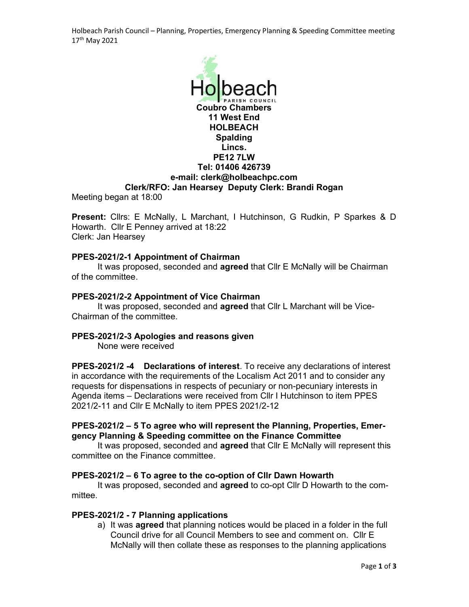Holbeach Parish Council – Planning, Properties, Emergency Planning & Speeding Committee meeting 17th May 2021



Present: Cllrs: E McNally, L Marchant, I Hutchinson, G Rudkin, P Sparkes & D Howarth. Cllr E Penney arrived at 18:22 Clerk: Jan Hearsey

### PPES-2021/2-1 Appointment of Chairman

It was proposed, seconded and agreed that Cllr E McNally will be Chairman of the committee.

### PPES-2021/2-2 Appointment of Vice Chairman

It was proposed, seconded and **agreed** that Cllr L Marchant will be Vice-Chairman of the committee.

### PPES-2021/2-3 Apologies and reasons given

None were received

PPES-2021/2 -4 Declarations of interest. To receive any declarations of interest in accordance with the requirements of the Localism Act 2011 and to consider any requests for dispensations in respects of pecuniary or non-pecuniary interests in Agenda items – Declarations were received from Cllr I Hutchinson to item PPES 2021/2-11 and Cllr E McNally to item PPES 2021/2-12

# PPES-2021/2 – 5 To agree who will represent the Planning, Properties, Emergency Planning & Speeding committee on the Finance Committee

It was proposed, seconded and **agreed** that CIIr E McNally will represent this committee on the Finance committee.

### PPES-2021/2 – 6 To agree to the co-option of Cllr Dawn Howarth

It was proposed, seconded and agreed to co-opt Cllr D Howarth to the committee.

### PPES-2021/2 - 7 Planning applications

a) It was agreed that planning notices would be placed in a folder in the full Council drive for all Council Members to see and comment on. Cllr E McNally will then collate these as responses to the planning applications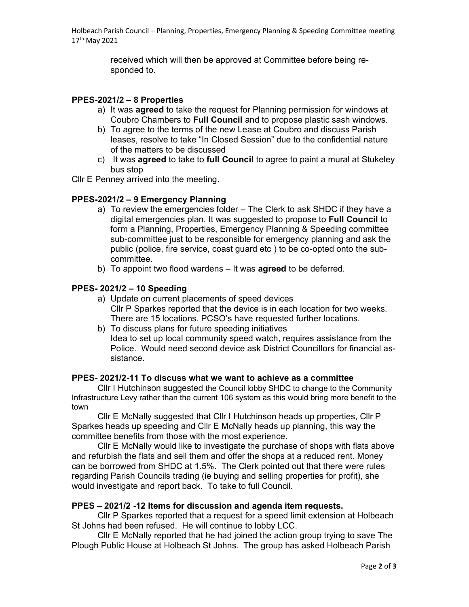Holbeach Parish Council – Planning, Properties, Emergency Planning & Speeding Committee meeting 17th May 2021

> received which will then be approved at Committee before being responded to.

### PPES-2021/2 – 8 Properties

- a) It was agreed to take the request for Planning permission for windows at Coubro Chambers to Full Council and to propose plastic sash windows.
- b) To agree to the terms of the new Lease at Coubro and discuss Parish leases, resolve to take "In Closed Session" due to the confidential nature of the matters to be discussed
- c) It was agreed to take to full Council to agree to paint a mural at Stukeley bus stop
- Cllr E Penney arrived into the meeting.

# PPES-2021/2 – 9 Emergency Planning

- a) To review the emergencies folder The Clerk to ask SHDC if they have a digital emergencies plan. It was suggested to propose to Full Council to form a Planning, Properties, Emergency Planning & Speeding committee sub-committee just to be responsible for emergency planning and ask the public (police, fire service, coast guard etc ) to be co-opted onto the subcommittee.
- b) To appoint two flood wardens It was **agreed** to be deferred.

# PPES- 2021/2 – 10 Speeding

- a) Update on current placements of speed devices Cllr P Sparkes reported that the device is in each location for two weeks. There are 15 locations. PCSO's have requested further locations.
- b) To discuss plans for future speeding initiatives Idea to set up local community speed watch, requires assistance from the Police. Would need second device ask District Councillors for financial assistance.

### PPES- 2021/2-11 To discuss what we want to achieve as a committee

Cllr I Hutchinson suggested the Council lobby SHDC to change to the Community Infrastructure Levy rather than the current 106 system as this would bring more benefit to the town

 Cllr E McNally suggested that Cllr I Hutchinson heads up properties, Cllr P Sparkes heads up speeding and Cllr E McNally heads up planning, this way the committee benefits from those with the most experience.

 Cllr E McNally would like to investigate the purchase of shops with flats above and refurbish the flats and sell them and offer the shops at a reduced rent. Money can be borrowed from SHDC at 1.5%. The Clerk pointed out that there were rules regarding Parish Councils trading (ie buying and selling properties for profit), she would investigate and report back. To take to full Council.

### PPES – 2021/2 -12 Items for discussion and agenda item requests.

Cllr P Sparkes reported that a request for a speed limit extension at Holbeach St Johns had been refused. He will continue to lobby LCC.

 Cllr E McNally reported that he had joined the action group trying to save The Plough Public House at Holbeach St Johns. The group has asked Holbeach Parish